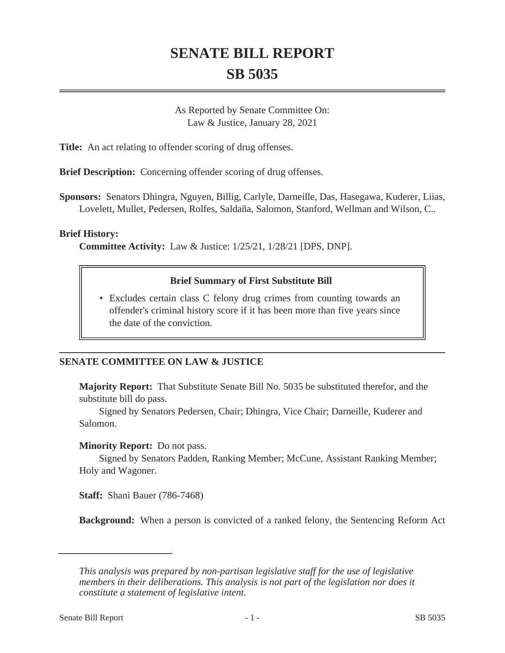# **SENATE BILL REPORT SB 5035**

As Reported by Senate Committee On: Law & Justice, January 28, 2021

**Title:** An act relating to offender scoring of drug offenses.

**Brief Description:** Concerning offender scoring of drug offenses.

**Sponsors:** Senators Dhingra, Nguyen, Billig, Carlyle, Darneille, Das, Hasegawa, Kuderer, Liias, Lovelett, Mullet, Pedersen, Rolfes, Saldaña, Salomon, Stanford, Wellman and Wilson, C..

#### **Brief History:**

**Committee Activity:** Law & Justice: 1/25/21, 1/28/21 [DPS, DNP].

### **Brief Summary of First Substitute Bill**

• Excludes certain class C felony drug crimes from counting towards an offender's criminal history score if it has been more than five years since the date of the conviction.

## **SENATE COMMITTEE ON LAW & JUSTICE**

**Majority Report:** That Substitute Senate Bill No. 5035 be substituted therefor, and the substitute bill do pass.

Signed by Senators Pedersen, Chair; Dhingra, Vice Chair; Darneille, Kuderer and Salomon.

#### **Minority Report:** Do not pass.

Signed by Senators Padden, Ranking Member; McCune, Assistant Ranking Member; Holy and Wagoner.

**Staff:** Shani Bauer (786-7468)

**Background:** When a person is convicted of a ranked felony, the Sentencing Reform Act

*This analysis was prepared by non-partisan legislative staff for the use of legislative members in their deliberations. This analysis is not part of the legislation nor does it constitute a statement of legislative intent.*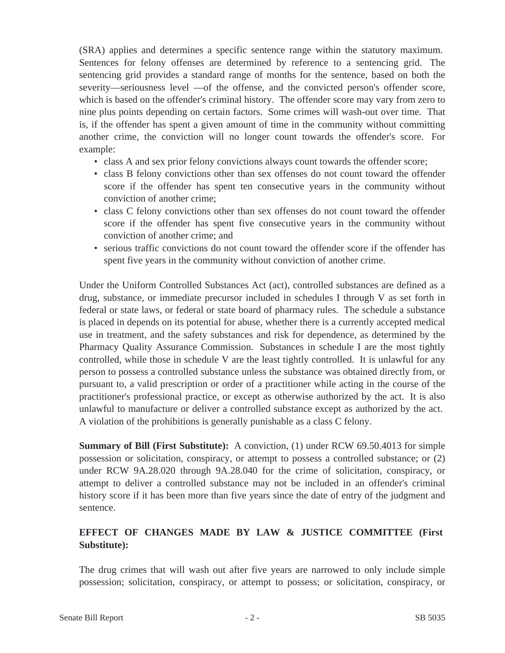(SRA) applies and determines a specific sentence range within the statutory maximum. Sentences for felony offenses are determined by reference to a sentencing grid. The sentencing grid provides a standard range of months for the sentence, based on both the severity—seriousness level —of the offense, and the convicted person's offender score, which is based on the offender's criminal history. The offender score may vary from zero to nine plus points depending on certain factors. Some crimes will wash-out over time. That is, if the offender has spent a given amount of time in the community without committing another crime, the conviction will no longer count towards the offender's score. For example:

- class A and sex prior felony convictions always count towards the offender score;
- class B felony convictions other than sex offenses do not count toward the offender score if the offender has spent ten consecutive years in the community without conviction of another crime;
- class C felony convictions other than sex offenses do not count toward the offender score if the offender has spent five consecutive years in the community without conviction of another crime; and
- serious traffic convictions do not count toward the offender score if the offender has spent five years in the community without conviction of another crime.

Under the Uniform Controlled Substances Act (act), controlled substances are defined as a drug, substance, or immediate precursor included in schedules I through V as set forth in federal or state laws, or federal or state board of pharmacy rules. The schedule a substance is placed in depends on its potential for abuse, whether there is a currently accepted medical use in treatment, and the safety substances and risk for dependence, as determined by the Pharmacy Quality Assurance Commission. Substances in schedule I are the most tightly controlled, while those in schedule V are the least tightly controlled. It is unlawful for any person to possess a controlled substance unless the substance was obtained directly from, or pursuant to, a valid prescription or order of a practitioner while acting in the course of the practitioner's professional practice, or except as otherwise authorized by the act. It is also unlawful to manufacture or deliver a controlled substance except as authorized by the act. A violation of the prohibitions is generally punishable as a class C felony.

**Summary of Bill (First Substitute):** A conviction, (1) under RCW 69.50.4013 for simple possession or solicitation, conspiracy, or attempt to possess a controlled substance; or (2) under RCW 9A.28.020 through 9A.28.040 for the crime of solicitation, conspiracy, or attempt to deliver a controlled substance may not be included in an offender's criminal history score if it has been more than five years since the date of entry of the judgment and sentence.

# **EFFECT OF CHANGES MADE BY LAW & JUSTICE COMMITTEE (First Substitute):**

The drug crimes that will wash out after five years are narrowed to only include simple possession; solicitation, conspiracy, or attempt to possess; or solicitation, conspiracy, or